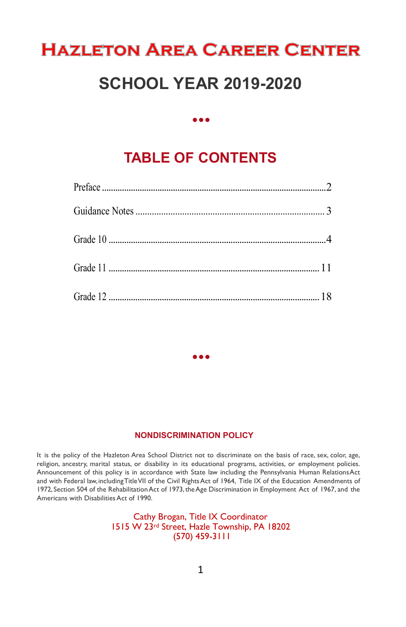## **HAZLETON AREA CAREER CENTER**

## **SCHOOL YEAR 2019-2020**

**• • •**

## **TABLE OF CONTENTS**

#### **NONDISCRIMINATION POLICY**

**• • •**

It is the policy of the Hazleton Area School District not to discriminate on the basis of race, sex, color, age, religion, ancestry, marital status, or disability in its educational programs, activities, or employment policies. Announcement of this policy is in accordance with State law including the Pennsylvania Human RelationsAct and with Federal law,includingTitleVII of the Civil RightsAct of 1964, Title IX of the Education Amendments of 1972, Section 504 of the Rehabilitation Act of 1973, the Age Discrimination in Employment Act of 1967, and the Americans with Disabilities Act of 1990.

> Cathy Brogan, Title IX Coordinator 1515 W 23rd Street, Hazle Township, PA 18202 (570) 459-3111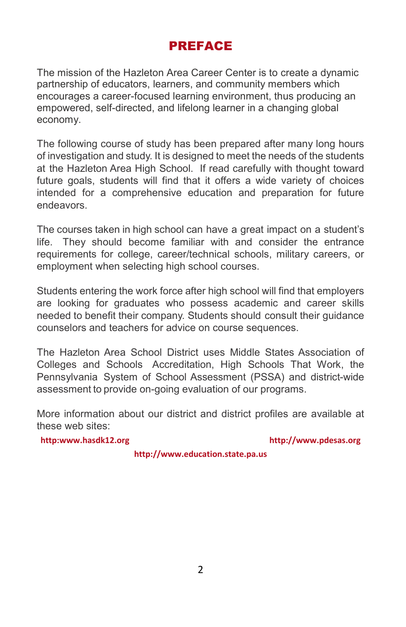## PREFACE

The mission of the Hazleton Area Career Center is to create a dynamic partnership of educators, learners, and community members which encourages a career-focused learning environment, thus producing an empowered, self-directed, and lifelong learner in a changing global economy.

The following course of study has been prepared after many long hours of investigation and study. It is designed to meet the needs of the students at the Hazleton Area High School. If read carefully with thought toward future goals, students will find that it offers a wide variety of choices intended for a comprehensive education and preparation for future endeavors.

The courses taken in high school can have a great impact on a student's life. They should become familiar with and consider the entrance requirements for college, career/technical schools, military careers, or employment when selecting high school courses.

Students entering the work force after high school will find that employers are looking for graduates who possess academic and career skills needed to benefit their company. Students should consult their guidance counselors and teachers for advice on course sequences.

The Hazleton Area School District uses Middle States Association of Colleges and Schools Accreditation, High Schools That Work, the Pennsylvania System of School Assessment (PSSA) and district-wide assessment to provide on-going evaluation of our programs.

More information about our district and district profiles are available at these web sites:

**http:www.hasdk12.org [http://www.pdesas.org](http://www.pdesas.org/)**

**http://www.education.state.pa.us**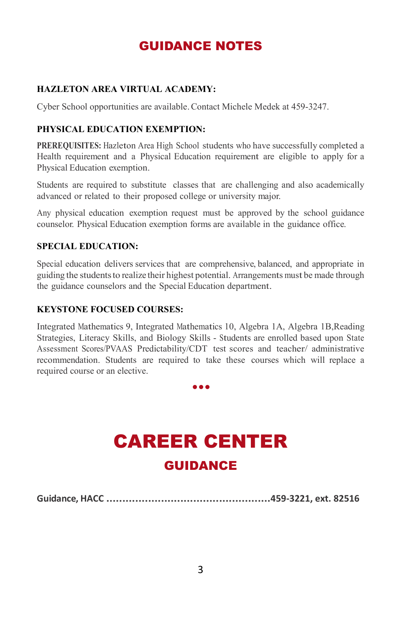## GUIDANCE NOTES

#### **HAZLETON AREA VIRTUAL ACADEMY:**

Cyber School opportunities are available.Contact Michele Medek at 459-3247.

#### **PHYSICAL EDUCATION EXEMPTION:**

**PREREQUISITES:** Hazleton Area High School students who have successfully completed a Health requirement and a Physical Education requirement are eligible to apply for a Physical Education exemption.

Students are required to substitute classes that are challenging and also academically advanced or related to their proposed college or university major.

Any physical education exemption request must be approved by the school guidance counselor. Physical Education exemption forms are available in the guidance office.

#### **SPECIAL EDUCATION:**

Special education delivers services that are comprehensive, balanced, and appropriate in guiding the students to realize their highest potential. Arrangements must be made through the guidance counselors and the Special Education department.

#### **KEYSTONE FOCUSED COURSES:**

Integrated Mathematics 9, Integrated Mathematics 10, Algebra 1A, Algebra 1B,Reading Strategies, Literacy Skills, and Biology Skills - Students are enrolled based upon State Assessment Scores/PVAAS Predictability/CDT test scores and teacher/ administrative recommendation. Students are required to take these courses which will replace a required course or an elective.

**• • •**

## CAREER CENTER GUIDANCE

**Guidance, HACC ...................................................459-3221, ext. 82516**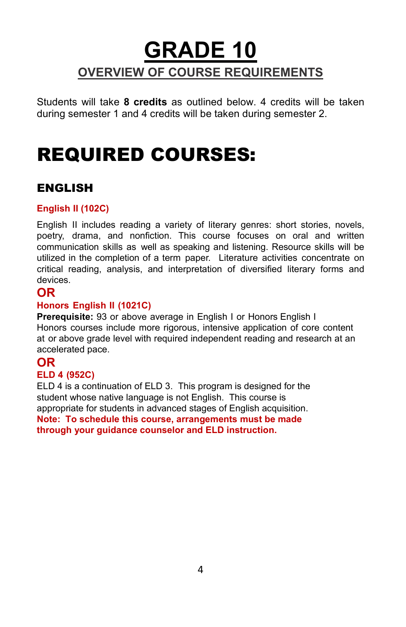## **GRADE 10 OVERVIEW OF COURSE REQUIREMENTS**

Students will take **8 credits** as outlined below. 4 credits will be taken during semester 1 and 4 credits will be taken during semester 2.

## REQUIRED COURSES:

## ENGLISH

### **English II (102C)**

English II includes reading a variety of literary genres: short stories, novels, poetry, drama, and nonfiction. This course focuses on oral and written communication skills as well as speaking and listening. Resource skills will be utilized in the completion of a term paper. Literature activities concentrate on critical reading, analysis, and interpretation of diversified literary forms and devices.

## **OR**

#### **Honors English II (1021C)**

**Prerequisite:** 93 or above average in English I or Honors English I Honors courses include more rigorous, intensive application of core content at or above grade level with required independent reading and research at an accelerated pace.

## **OR**

#### **ELD 4 (952C)**

ELD 4 is a continuation of ELD 3. This program is designed for the student whose native language is not English. This course is appropriate for students in advanced stages of English acquisition. **Note: To schedule this course, arrangements must be made through your guidance counselor and ELD instruction.**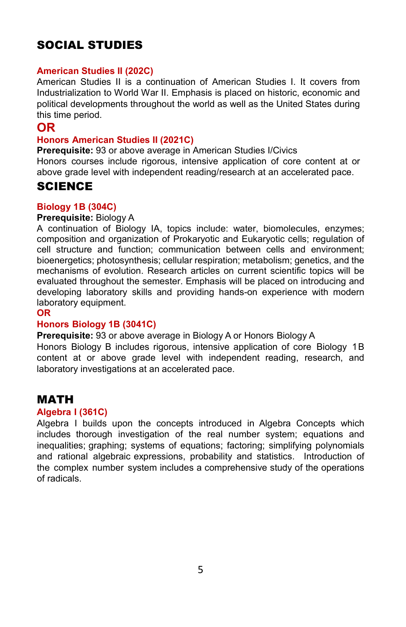## SOCIAL STUDIES

#### **American Studies II (202C)**

American Studies II is a continuation of American Studies I. It covers from Industrialization to World War II. Emphasis is placed on historic, economic and political developments throughout the world as well as the United States during this time period.

## **OR**

#### **Honors American Studies II (2021C)**

**Prerequisite:** 93 or above average in American Studies I/Civics

Honors courses include rigorous, intensive application of core content at or above grade level with independent reading/research at an accelerated pace.

## **SCIENCE**

#### **Biology 1B (304C)**

#### **Prerequisite:** Biology A

A continuation of Biology IA, topics include: water, biomolecules, enzymes; composition and organization of Prokaryotic and Eukaryotic cells; regulation of cell structure and function; communication between cells and environment; bioenergetics; photosynthesis; cellular respiration; metabolism; genetics, and the mechanisms of evolution. Research articles on current scientific topics will be evaluated throughout the semester. Emphasis will be placed on introducing and developing laboratory skills and providing hands-on experience with modern laboratory equipment.

**OR**

#### **Honors Biology 1B (3041C)**

**Prerequisite:** 93 or above average in Biology A or Honors Biology A

Honors Biology B includes rigorous, intensive application of core Biology 1B content at or above grade level with independent reading, research, and laboratory investigations at an accelerated pace.

## MATH

#### **Algebra I (361C)**

Algebra I builds upon the concepts introduced in Algebra Concepts which includes thorough investigation of the real number system; equations and inequalities; graphing; systems of equations; factoring; simplifying polynomials and rational algebraic expressions, probability and statistics. Introduction of the complex number system includes a comprehensive study of the operations of radicals.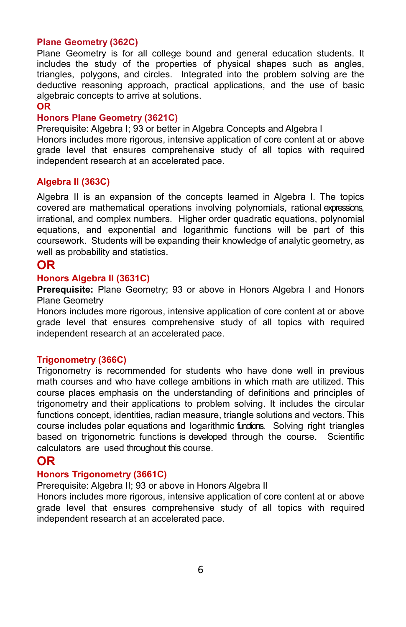#### **Plane Geometry (362C)**

Plane Geometry is for all college bound and general education students. It includes the study of the properties of physical shapes such as angles, triangles, polygons, and circles. Integrated into the problem solving are the deductive reasoning approach, practical applications, and the use of basic algebraic concepts to arrive at solutions.

#### **OR**

#### **Honors Plane Geometry (3621C)**

Prerequisite: Algebra I: 93 or better in Algebra Concepts and Algebra I Honors includes more rigorous, intensive application of core content at or above grade level that ensures comprehensive study of all topics with required independent research at an accelerated pace.

#### **Algebra II (363C)**

Algebra II is an expansion of the concepts learned in Algebra I. The topics covered are mathematical operations involving polynomials, rational expressions, irrational, and complex numbers. Higher order quadratic equations, polynomial equations, and exponential and logarithmic functions will be part of this coursework. Students will be expanding their knowledge of analytic geometry, as well as probability and statistics.

## **OR**

#### **Honors Algebra II (3631C)**

**Prerequisite:** Plane Geometry; 93 or above in Honors Algebra I and Honors Plane Geometry

Honors includes more rigorous, intensive application of core content at or above grade level that ensures comprehensive study of all topics with required independent research at an accelerated pace.

#### **Trigonometry (366C)**

Trigonometry is recommended for students who have done well in previous math courses and who have college ambitions in which math are utilized. This course places emphasis on the understanding of definitions and principles of trigonometry and their applications to problem solving. It includes the circular functions concept, identities, radian measure, triangle solutions and vectors. This course includes polar equations and logarithmic fundions. Solving right triangles based on trigonometric functions is developed through the course. Scientific calculators are used throughout this course.

## **OR**

#### **Honors Trigonometry (3661C)**

Prerequisite: Algebra II: 93 or above in Honors Algebra II

Honors includes more rigorous, intensive application of core content at or above grade level that ensures comprehensive study of all topics with required independent research at an accelerated pace.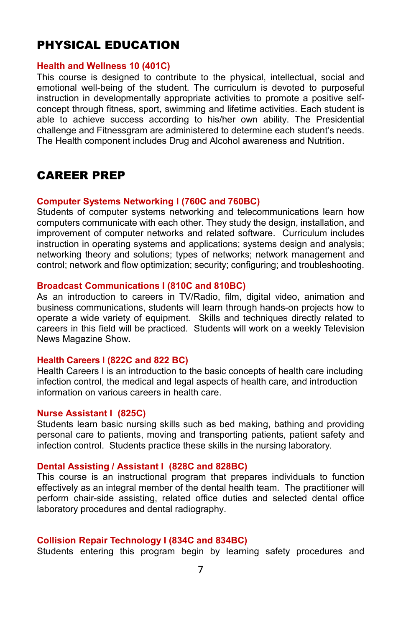## PHYSICAL EDUCATION

#### **Health and Wellness 10 (401C)**

This course is designed to contribute to the physical, intellectual, social and emotional well-being of the student. The curriculum is devoted to purposeful instruction in developmentally appropriate activities to promote a positive selfconcept through fitness, sport, swimming and lifetime activities. Each student is able to achieve success according to his/her own ability. The Presidential challenge and Fitnessgram are administered to determine each student's needs. The Health component includes Drug and Alcohol awareness and Nutrition.

## CAREER PREP

#### **Computer Systems Networking I (760C and 760BC)**

Students of computer systems networking and telecommunications learn how computers communicate with each other. They study the design, installation, and improvement of computer networks and related software. Curriculum includes instruction in operating systems and applications; systems design and analysis; networking theory and solutions; types of networks; network management and control; network and flow optimization; security; configuring; and troubleshooting.

#### **Broadcast Communications I (810C and 810BC)**

As an introduction to careers in TV/Radio, film, digital video, animation and business communications, students will learn through hands-on projects how to operate a wide variety of equipment. Skills and techniques directly related to careers in this field will be practiced. Students will work on a weekly Television News Magazine Show**.**

#### **Health Careers I (822C and 822 BC)**

Health Careers I is an introduction to the basic concepts of health care including infection control, the medical and legal aspects of health care, and introduction information on various careers in health care.

#### **Nurse Assistant I (825C)**

Students learn basic nursing skills such as bed making, bathing and providing personal care to patients, moving and transporting patients, patient safety and infection control. Students practice these skills in the nursing laboratory.

#### **Dental Assisting / Assistant I (828C and 828BC)**

This course is an instructional program that prepares individuals to function effectively as an integral member of the dental health team. The practitioner will perform chair-side assisting, related office duties and selected dental office laboratory procedures and dental radiography.

#### **Collision Repair Technology I (834C and 834BC)**

Students entering this program begin by learning safety procedures and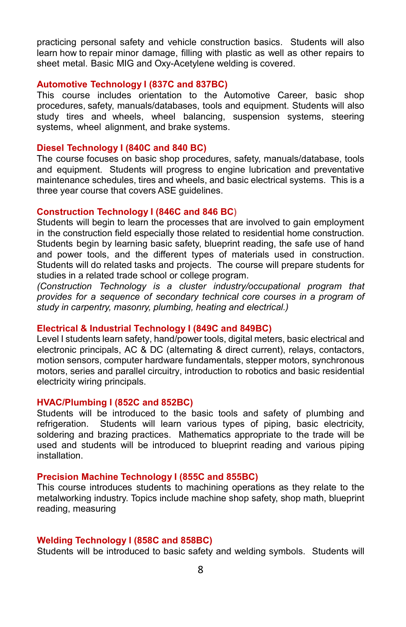practicing personal safety and vehicle construction basics. Students will also learn how to repair minor damage, filling with plastic as well as other repairs to sheet metal. Basic MIG and Oxy-Acetylene welding is covered.

#### **Automotive Technology I (837C and 837BC)**

This course includes orientation to the Automotive Career, basic shop procedures, safety, manuals/databases, tools and equipment. Students will also study tires and wheels, wheel balancing, suspension systems, steering systems, wheel alignment, and brake systems.

#### **Diesel Technology I (840C and 840 BC)**

The course focuses on basic shop procedures, safety, manuals/database, tools and equipment. Students will progress to engine lubrication and preventative maintenance schedules, tires and wheels, and basic electrical systems. This is a three year course that covers ASE guidelines.

#### **Construction Technology I (846C and 846 BC)**

Students will begin to learn the processes that are involved to gain employment in the construction field especially those related to residential home construction. Students begin by learning basic safety, blueprint reading, the safe use of hand and power tools, and the different types of materials used in construction. Students will do related tasks and projects. The course will prepare students for studies in a related trade school or college program.

*(Construction Technology is a cluster industry/occupational program that provides for a sequence of secondary technical core courses in a program of study in carpentry, masonry, plumbing, heating and electrical.)*

#### **Electrical & Industrial Technology I (849C and 849BC)**

Level I students learn safety, hand/power tools, digital meters, basic electrical and electronic principals, AC & DC (alternating & direct current), relays, contactors, motion sensors, computer hardware fundamentals, stepper motors, synchronous motors, series and parallel circuitry, introduction to robotics and basic residential electricity wiring principals.

#### **HVAC/Plumbing I (852C and 852BC)**

Students will be introduced to the basic tools and safety of plumbing and refrigeration. Students will learn various types of piping, basic electricity, soldering and brazing practices. Mathematics appropriate to the trade will be used and students will be introduced to blueprint reading and various piping installation.

#### **Precision Machine Technology I (855C and 855BC)**

This course introduces students to machining operations as they relate to the metalworking industry. Topics include machine shop safety, shop math, blueprint reading, measuring

#### **Welding Technology I (858C and 858BC)**

Students will be introduced to basic safety and welding symbols. Students will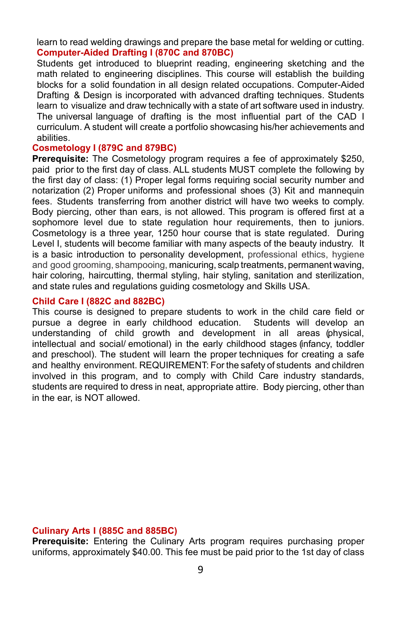learn to read welding drawings and prepare the base metal for welding or cutting. **Computer-Aided Drafting I (870C and 870BC)**

Students get introduced to blueprint reading, engineering sketching and the math related to engineering disciplines. This course will establish the building blocks for a solid foundation in all design related occupations. Computer-Aided Drafting & Design is incorporated with advanced drafting techniques. Students learn to visualize and draw technically with a state of art software used in industry. The universal language of drafting is the most influential part of the CAD I curriculum. A student will create a portfolio showcasing his/her achievements and abilities.

#### **Cosmetology I (879C and 879BC)**

**Prerequisite:** The Cosmetology program requires a fee of approximately \$250, paid prior to the first day of class. ALL students MUST complete the following by the first day of class: (1) Proper legal forms requiring social security number and notarization (2) Proper uniforms and professional shoes (3) Kit and mannequin fees. Students transferring from another district will have two weeks to comply. Body piercing, other than ears, is not allowed. This program is offered first at a sophomore level due to state regulation hour requirements, then to juniors. Cosmetology is a three year, 1250 hour course that is state regulated. During Level I, students will become familiar with many aspects of the beauty industry. It is a basic introduction to personality development, professional ethics, hygiene and good grooming, shampooing, manicuring, scalp treatments, permanent waving, hair coloring, haircutting, thermal styling, hair styling, sanitation and sterilization, and state rules and regulations guiding cosmetology and Skills USA.

#### **Child Care I (882C and 882BC)**

This course is designed to prepare students to work in the child care field or<br>pursue a degree in early childhood education. Students will develop an pursue a degree in early childhood education. understanding of child growth and development in all areas (physical, intellectual and social/ emotional) in the early childhood stages (infancy, toddler and preschool). The student will learn the proper techniques for creating a safe and healthy environment. REQUIREMENT: For the safety of students and children involved in this program, and to comply with Child Care industry standards, students are required to dress in neat, appropriate attire. Body piercing, other than in the ear, is NOT allowed.

#### **Culinary Arts I (885C and 885BC)**

**Prerequisite:** Entering the Culinary Arts program requires purchasing proper uniforms, approximately \$40.00. This fee must be paid prior to the 1st day of class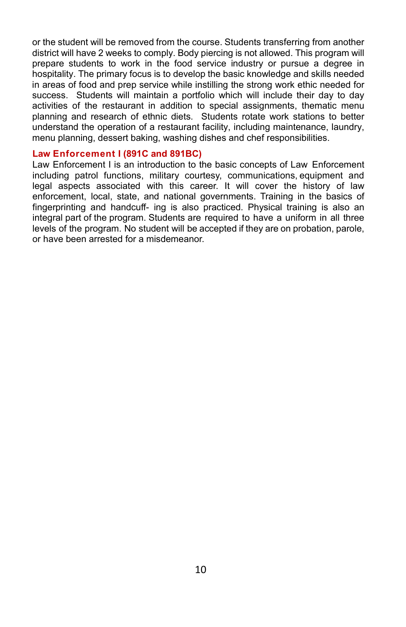or the student will be removed from the course. Students transferring from another district will have 2 weeks to comply. Body piercing is not allowed. This program will prepare students to work in the food service industry or pursue a degree in hospitality. The primary focus is to develop the basic knowledge and skills needed in areas of food and prep service while instilling the strong work ethic needed for success. Students will maintain a portfolio which will include their day to day activities of the restaurant in addition to special assignments, thematic menu planning and research of ethnic diets. Students rotate work stations to better understand the operation of a restaurant facility, including maintenance, laundry, menu planning, dessert baking, washing dishes and chef responsibilities.

#### **Law Enforcement I (891C and 891BC)**

Law Enforcement I is an introduction to the basic concepts of Law Enforcement including patrol functions, military courtesy, communications, equipment and legal aspects associated with this career. It will cover the history of law enforcement, local, state, and national governments. Training in the basics of fingerprinting and handcuff- ing is also practiced. Physical training is also an integral part of the program. Students are required to have a uniform in all three levels of the program. No student will be accepted if they are on probation, parole, or have been arrested for a misdemeanor.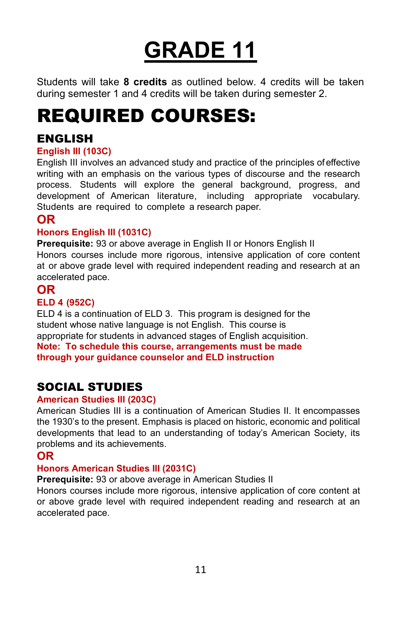## **GRADE 11**

Students will take **8 credits** as outlined below. 4 credits will be taken during semester 1 and 4 credits will be taken during semester 2.

## REQUIRED COURSES:

## ENGLISH

## **English III (103C)**

English III involves an advanced study and practice of the principles ofeffective writing with an emphasis on the various types of discourse and the research process. Students will explore the general background, progress, and development of American literature, including appropriate vocabulary. Students are required to complete a research paper.

## **OR**

### **Honors English III (1031C)**

**Prerequisite:** 93 or above average in English II or Honors English II Honors courses include more rigorous, intensive application of core content at or above grade level with required independent reading and research at an accelerated pace.

## **OR**

#### **ELD 4 (952C)**

ELD 4 is a continuation of ELD 3. This program is designed for the student whose native language is not English. This course is appropriate for students in advanced stages of English acquisition. **Note: To schedule this course, arrangements must be made through your guidance counselor and ELD instruction**

## SOCIAL STUDIES

#### **American Studies III (203C)**

American Studies III is a continuation of American Studies II. It encompasses the 1930's to the present. Emphasis is placed on historic, economic and political developments that lead to an understanding of today's American Society, its problems and its achievements.

## **OR**

#### **Honors American Studies III (2031C)**

**Prerequisite:** 93 or above average in American Studies II

Honors courses include more rigorous, intensive application of core content at or above grade level with required independent reading and research at an accelerated pace.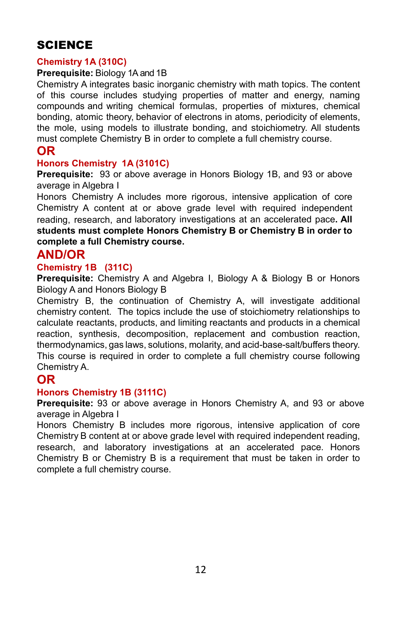## SCIENCE

#### **Chemistry 1A (310C)**

#### **Prerequisite:** Biology 1A and 1B

Chemistry A integrates basic inorganic chemistry with math topics. The content of this course includes studying properties of matter and energy, naming compounds and writing chemical formulas, properties of mixtures, chemical bonding, atomic theory, behavior of electrons in atoms, periodicity of elements, the mole, using models to illustrate bonding, and stoichiometry. All students must complete Chemistry B in order to complete a full chemistry course.

### **OR**

#### **Honors Chemistry 1A (3101C)**

**Prerequisite:** 93 or above average in Honors Biology 1B, and 93 or above average in Algebra I

Honors Chemistry A includes more rigorous, intensive application of core Chemistry A content at or above grade level with required independent reading, research, and laboratory investigations at an accelerated pace**. All students must complete Honors Chemistry B or Chemistry B in order to complete a full Chemistry course.**

## **AND/OR**

#### **Chemistry 1B (311C)**

**Prerequisite:** Chemistry A and Algebra I, Biology A & Biology B or Honors Biology A and Honors Biology B

Chemistry B, the continuation of Chemistry A, will investigate additional chemistry content. The topics include the use of stoichiometry relationships to calculate reactants, products, and limiting reactants and products in a chemical reaction, synthesis, decomposition, replacement and combustion reaction, thermodynamics, gas laws, solutions, molarity, and acid-base-salt/buffers theory. This course is required in order to complete a full chemistry course following Chemistry A.

## **OR**

#### **Honors Chemistry 1B (3111C)**

**Prerequisite:** 93 or above average in Honors Chemistry A, and 93 or above average in Algebra I

Honors Chemistry B includes more rigorous, intensive application of core Chemistry B content at or above grade level with required independent reading, research, and laboratory investigations at an accelerated pace. Honors Chemistry B or Chemistry B is a requirement that must be taken in order to complete a full chemistry course.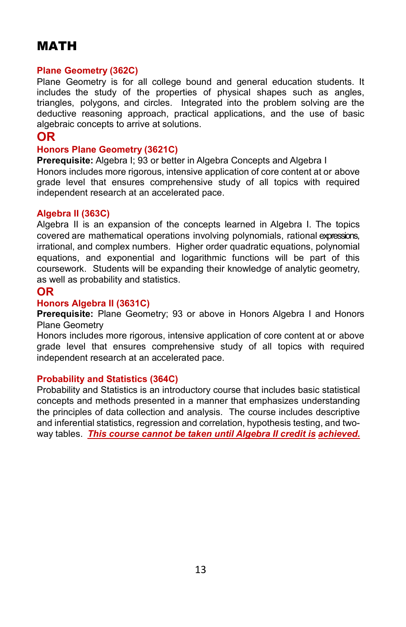## MATH

#### **Plane Geometry (362C)**

Plane Geometry is for all college bound and general education students. It includes the study of the properties of physical shapes such as angles, triangles, polygons, and circles. Integrated into the problem solving are the deductive reasoning approach, practical applications, and the use of basic algebraic concepts to arrive at solutions.

## **OR**

#### **Honors Plane Geometry (3621C)**

**Prerequisite:** Algebra I: 93 or better in Algebra Concepts and Algebra I Honors includes more rigorous, intensive application of core content at or above grade level that ensures comprehensive study of all topics with required independent research at an accelerated pace.

#### **Algebra II (363C)**

Algebra II is an expansion of the concepts learned in Algebra I. The topics covered are mathematical operations involving polynomials, rational expressions, irrational, and complex numbers. Higher order quadratic equations, polynomial equations, and exponential and logarithmic functions will be part of this coursework. Students will be expanding their knowledge of analytic geometry, as well as probability and statistics.

#### **OR**

#### **Honors Algebra II (3631C)**

**Prerequisite:** Plane Geometry; 93 or above in Honors Algebra I and Honors Plane Geometry

Honors includes more rigorous, intensive application of core content at or above grade level that ensures comprehensive study of all topics with required independent research at an accelerated pace.

#### **Probability and Statistics (364C)**

Probability and Statistics is an introductory course that includes basic statistical concepts and methods presented in a manner that emphasizes understanding the principles of data collection and analysis. The course includes descriptive and inferential statistics, regression and correlation, hypothesis testing, and twoway tables. *This course cannot be taken until Algebra II credit is achieved.*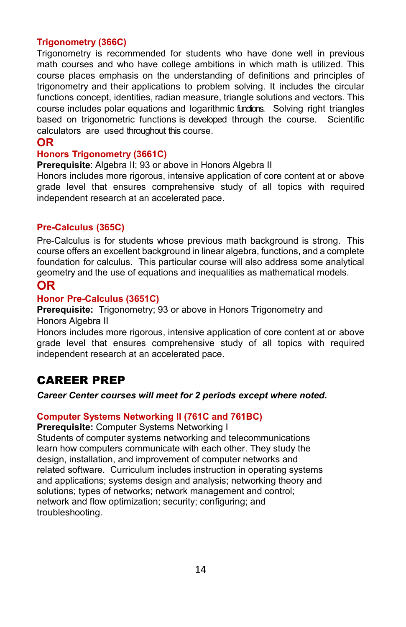#### **Trigonometry (366C)**

Trigonometry is recommended for students who have done well in previous math courses and who have college ambitions in which math is utilized. This course places emphasis on the understanding of definitions and principles of trigonometry and their applications to problem solving. It includes the circular functions concept, identities, radian measure, triangle solutions and vectors. This course includes polar equations and logarithmic fundions. Solving right triangles based on trigonometric functions is developed through the course. Scientific calculators are used throughout this course.

#### **OR**

#### **Honors Trigonometry (3661C)**

**Prerequisite:** Algebra II: 93 or above in Honors Algebra II

Honors includes more rigorous, intensive application of core content at or above grade level that ensures comprehensive study of all topics with required independent research at an accelerated pace.

#### **Pre-Calculus (365C)**

Pre-Calculus is for students whose previous math background is strong. This course offers an excellent background in linear algebra, functions, and a complete foundation for calculus. This particular course will also address some analytical geometry and the use of equations and inequalities as mathematical models.

## **OR**

#### **Honor Pre-Calculus (3651C)**

**Prerequisite:** Trigonometry; 93 or above in Honors Trigonometry and Honors Algebra II

Honors includes more rigorous, intensive application of core content at or above grade level that ensures comprehensive study of all topics with required independent research at an accelerated pace.

## CAREER PREP

#### *Career Center courses will meet for 2 periods except where noted.*

#### **Computer Systems Networking II (761C and 761BC)**

**Prerequisite:** Computer Systems Networking I

Students of computer systems networking and telecommunications learn how computers communicate with each other. They study the design, installation, and improvement of computer networks and related software. Curriculum includes instruction in operating systems and applications; systems design and analysis; networking theory and solutions; types of networks; network management and control; network and flow optimization; security; configuring; and troubleshooting.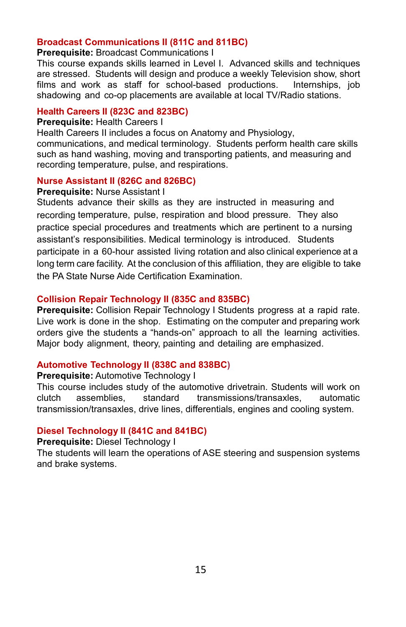#### **Broadcast Communications II (811C and 811BC)**

**Prerequisite:** Broadcast Communications I

This course expands skills learned in Level I. Advanced skills and techniques are stressed. Students will design and produce a weekly Television show, short films and work as staff for school-based productions. Internships, job shadowing and co-op placements are available at local TV/Radio stations.

#### **Health Careers II (823C and 823BC)**

#### **Prerequisite:** Health Careers I

Health Careers II includes a focus on Anatomy and Physiology, communications, and medical terminology. Students perform health care skills such as hand washing, moving and transporting patients, and measuring and recording temperature, pulse, and respirations.

#### **Nurse Assistant II (826C and 826BC)**

#### **Prerequisite:** Nurse Assistant I

Students advance their skills as they are instructed in measuring and recording temperature, pulse, respiration and blood pressure. They also practice special procedures and treatments which are pertinent to a nursing assistant's responsibilities. Medical terminology is introduced. Students participate in a 60-hour assisted living rotation and also clinical experience at a long term care facility. At the conclusion of this affiliation, they are eligible to take the PA State Nurse Aide Certification Examination.

#### **Collision Repair Technology II (835C and 835BC)**

**Prerequisite:** Collision Repair Technology I Students progress at a rapid rate. Live work is done in the shop. Estimating on the computer and preparing work orders give the students a "hands-on" approach to all the learning activities. Major body alignment, theory, painting and detailing are emphasized.

#### **Automotive Technology II (838C and 838BC)**

#### **Prerequisite:** Automotive Technology I

This course includes study of the automotive drivetrain. Students will work on clutch assemblies, standard transmissions/transaxles, automatic transmission/transaxles, drive lines, differentials, engines and cooling system.

#### **Diesel Technology II (841C and 841BC)**

#### **Prerequisite:** Diesel Technology I

The students will learn the operations of ASE steering and suspension systems and brake systems.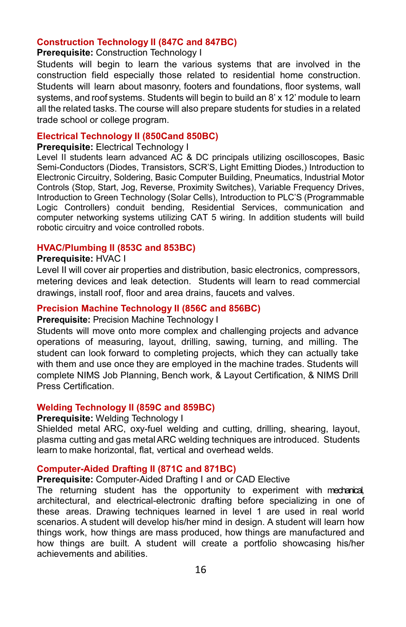#### **Construction Technology II (847C and 847BC)**

#### **Prerequisite:** Construction Technology I

Students will begin to learn the various systems that are involved in the construction field especially those related to residential home construction. Students will learn about masonry, footers and foundations, floor systems, wall systems, and roof systems. Students will begin to build an 8' x 12' module to learn all the related tasks. The course will also prepare students for studies in a related trade school or college program.

#### **Electrical Technology II (850Cand 850BC)**

#### **Prerequisite: Electrical Technology I**

Level II students learn advanced AC & DC principals utilizing oscilloscopes, Basic Semi-Conductors (Diodes, Transistors, SCR'S, Light Emitting Diodes,) Introduction to Electronic Circuitry, Soldering, Basic Computer Building, Pneumatics, Industrial Motor Controls (Stop, Start, Jog, Reverse, Proximity Switches), Variable Frequency Drives, Introduction to Green Technology (Solar Cells), Introduction to PLC'S (Programmable Logic Controllers) conduit bending, Residential Services, communication and computer networking systems utilizing CAT 5 wiring. In addition students will build robotic circuitry and voice controlled robots.

#### **HVAC/Plumbing II (853C and 853BC)**

#### **Prerequisite:** HVAC I

Level II will cover air properties and distribution, basic electronics, compressors, metering devices and leak detection. Students will learn to read commercial drawings, install roof, floor and area drains, faucets and valves.

#### **Precision Machine Technology II (856C and 856BC)**

#### **Prerequisite:** Precision Machine Technology I

Students will move onto more complex and challenging projects and advance operations of measuring, layout, drilling, sawing, turning, and milling. The student can look forward to completing projects, which they can actually take with them and use once they are employed in the machine trades. Students will complete NIMS Job Planning, Bench work, & Layout Certification, & NIMS Drill Press Certification.

#### **Welding Technology II (859C and 859BC)**

#### **Prerequisite:** Welding Technology I

Shielded metal ARC, oxy-fuel welding and cutting, drilling, shearing, layout, plasma cutting and gas metalARC welding techniques are introduced. Students learn to make horizontal, flat, vertical and overhead welds.

#### **Computer-Aided Drafting II (871C and 871BC)**

#### **Prerequisite:** Computer-Aided Drafting I and or CAD Elective

The returning student has the opportunity to experiment with mechanical, architectural, and electrical-electronic drafting before specializing in one of these areas. Drawing techniques learned in level 1 are used in real world scenarios. A student will develop his/her mind in design. A student will learn how things work, how things are mass produced, how things are manufactured and how things are built. A student will create a portfolio showcasing his/her achievements and abilities.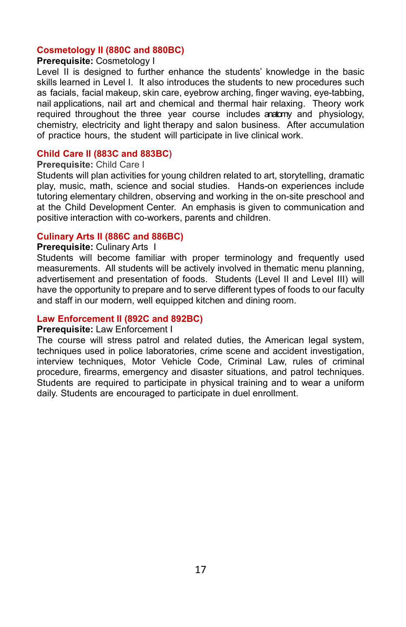#### **Cosmetology II (880C and 880BC)**

#### **Prerequisite:** Cosmetology I

Level II is designed to further enhance the students' knowledge in the basic skills learned in Level I. It also introduces the students to new procedures such as facials, facial makeup, skin care, eyebrow arching, finger waving, eye-tabbing, nail applications, nail art and chemical and thermal hair relaxing. Theory work required throughout the three year course includes anatomy and physiology, chemistry, electricity and light therapy and salon business. After accumulation of practice hours, the student will participate in live clinical work.

#### **Child Care II (883C and 883BC)**

#### **Prerequisite:** Child Care I

Students will plan activities for young children related to art, storytelling, dramatic play, music, math, science and social studies. Hands-on experiences include tutoring elementary children, observing and working in the on-site preschool and at the Child Development Center. An emphasis is given to communication and positive interaction with co-workers, parents and children.

#### **Culinary Arts II (886C and 886BC)**

#### **Prerequisite:** Culinary Arts I

Students will become familiar with proper terminology and frequently used measurements. All students will be actively involved in thematic menu planning, advertisement and presentation of foods. Students (Level II and Level III) will have the opportunity to prepare and to serve different types of foods to our faculty and staff in our modern, well equipped kitchen and dining room.

#### **Law Enforcement II (892C and 892BC)**

#### **Prerequisite:** Law Enforcement I

The course will stress patrol and related duties, the American legal system, techniques used in police laboratories, crime scene and accident investigation, interview techniques, Motor Vehicle Code, Criminal Law, rules of criminal procedure, firearms, emergency and disaster situations, and patrol techniques. Students are required to participate in physical training and to wear a uniform daily. Students are encouraged to participate in duel enrollment.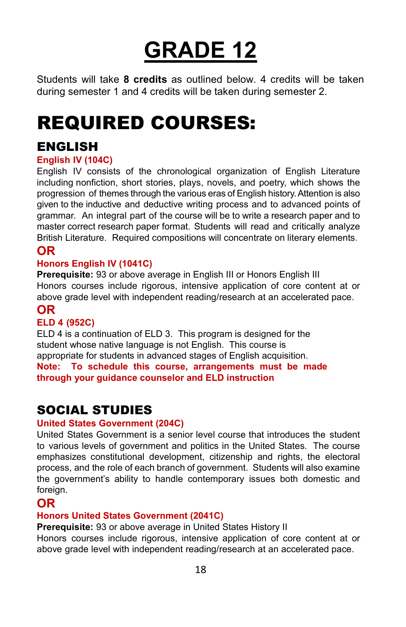# **GRADE 12**

Students will take **8 credits** as outlined below. 4 credits will be taken during semester 1 and 4 credits will be taken during semester 2.

## REQUIRED COURSES:

## ENGLISH

## **English IV (104C)**

English IV consists of the chronological organization of English Literature including nonfiction, short stories, plays, novels, and poetry, which shows the progression of themes through the various eras of English history.Attention is also given to the inductive and deductive writing process and to advanced points of grammar. An integral part of the course will be to write a research paper and to master correct research paper format. Students will read and critically analyze British Literature. Required compositions will concentrate on literary elements.

## **OR**

## **Honors English IV (1041C)**

**Prerequisite:** 93 or above average in English III or Honors English III Honors courses include rigorous, intensive application of core content at or above grade level with independent reading/research at an accelerated pace.

## **OR**

## **ELD 4 (952C)**

ELD 4 is a continuation of ELD 3. This program is designed for the student whose native language is not English. This course is appropriate for students in advanced stages of English acquisition. **Note: To schedule this course, arrangements must be made through your guidance counselor and ELD instruction**

## SOCIAL STUDIES

#### **United States Government (204C)**

United States Government is a senior level course that introduces the student to various levels of government and politics in the United States. The course emphasizes constitutional development, citizenship and rights, the electoral process, and the role of each branch of government. Students will also examine the government's ability to handle contemporary issues both domestic and foreign.

## **OR**

#### **Honors United States Government (2041C)**

**Prerequisite:** 93 or above average in United States History II

Honors courses include rigorous, intensive application of core content at or above grade level with independent reading/research at an accelerated pace.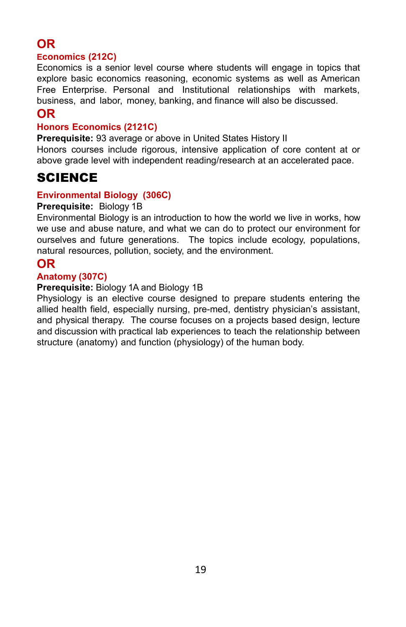## **OR**

#### **Economics (212C)**

Economics is a senior level course where students will engage in topics that explore basic economics reasoning, economic systems as well as American Free Enterprise. Personal and Institutional relationships with markets, business, and labor, money, banking, and finance will also be discussed.

## **OR**

#### **Honors Economics (2121C)**

**Prerequisite:** 93 average or above in United States History II

Honors courses include rigorous, intensive application of core content at or above grade level with independent reading/research at an accelerated pace.

## SCIENCE

#### **Environmental Biology (306C)**

#### **Prerequisite:** Biology 1B

Environmental Biology is an introduction to how the world we live in works, how we use and abuse nature, and what we can do to protect our environment for ourselves and future generations. The topics include ecology, populations, natural resources, pollution, society, and the environment.

## **OR**

#### **Anatomy (307C)**

#### **Prerequisite:** Biology 1A and Biology 1B

Physiology is an elective course designed to prepare students entering the allied health field, especially nursing, pre-med, dentistry physician's assistant, and physical therapy. The course focuses on a projects based design, lecture and discussion with practical lab experiences to teach the relationship between structure (anatomy) and function (physiology) of the human body.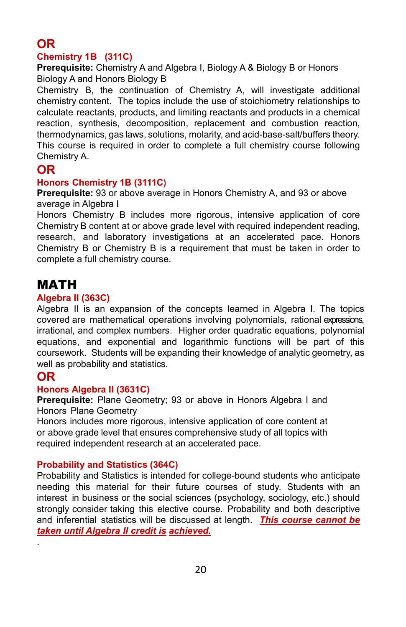## **OR**

## **Chemistry 1B (311C)**

**Prerequisite:** Chemistry A and Algebra I, Biology A & Biology B or Honors Biology A and Honors Biology B

Chemistry B, the continuation of Chemistry A, will investigate additional chemistry content. The topics include the use of stoichiometry relationships to calculate reactants, products, and limiting reactants and products in a chemical reaction, synthesis, decomposition, replacement and combustion reaction, thermodynamics, gas laws, solutions, molarity, and acid-base-salt/buffers theory. This course is required in order to complete a full chemistry course following Chemistry A.

## **OR**

#### **Honors Chemistry 1B (3111C)**

**Prerequisite:** 93 or above average in Honors Chemistry A, and 93 or above average in Algebra I

Honors Chemistry B includes more rigorous, intensive application of core Chemistry B content at or above grade level with required independent reading, research, and laboratory investigations at an accelerated pace. Honors Chemistry B or Chemistry B is a requirement that must be taken in order to complete a full chemistry course.

## MATH

#### **Algebra II (363C)**

Algebra II is an expansion of the concepts learned in Algebra I. The topics covered are mathematical operations involving polynomials, rational expressions, irrational, and complex numbers. Higher order quadratic equations, polynomial equations, and exponential and logarithmic functions will be part of this coursework. Students will be expanding their knowledge of analytic geometry, as well as probability and statistics.

## **OR**

.

#### **Honors Algebra II (3631C)**

**Prerequisite:** Plane Geometry; 93 or above in Honors Algebra I and Honors Plane Geometry

Honors includes more rigorous, intensive application of core content at or above grade level that ensures comprehensive study of all topics with required independent research at an accelerated pace.

#### **Probability and Statistics (364C)**

Probability and Statistics is intended for college-bound students who anticipate needing this material for their future courses of study. Students with an interest in business or the social sciences (psychology, sociology, etc.) should strongly consider taking this elective course. Probability and both descriptive and inferential statistics will be discussed at length. *This course cannot be taken until Algebra II credit is achieved.*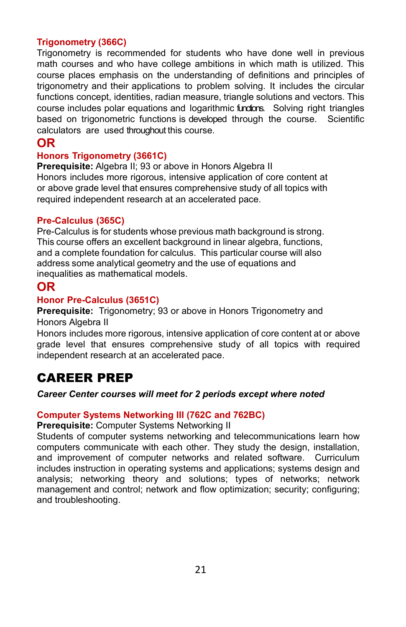#### **Trigonometry (366C)**

Trigonometry is recommended for students who have done well in previous math courses and who have college ambitions in which math is utilized. This course places emphasis on the understanding of definitions and principles of trigonometry and their applications to problem solving. It includes the circular functions concept, identities, radian measure, triangle solutions and vectors. This course includes polar equations and logarithmic fundions. Solving right triangles based on trigonometric functions is developed through the course. Scientific calculators are used throughout this course.

## **OR**

#### **Honors Trigonometry (3661C)**

**Prerequisite:** Algebra II: 93 or above in Honors Algebra II Honors includes more rigorous, intensive application of core content at or above grade level that ensures comprehensive study of all topics with required independent research at an accelerated pace.

#### **Pre-Calculus (365C)**

Pre-Calculus is for students whose previous math background is strong. This course offers an excellent background in linear algebra, functions, and a complete foundation for calculus. This particular course will also address some analytical geometry and the use of equations and inequalities as mathematical models.

## **OR**

#### **Honor Pre-Calculus (3651C)**

**Prerequisite:** Trigonometry; 93 or above in Honors Trigonometry and Honors Algebra II

Honors includes more rigorous, intensive application of core content at or above grade level that ensures comprehensive study of all topics with required independent research at an accelerated pace.

## CAREER PREP

#### *Career Center courses will meet for 2 periods except where noted*

#### **Computer Systems Networking III (762C and 762BC)**

**Prerequisite:** Computer Systems Networking II

Students of computer systems networking and telecommunications learn how computers communicate with each other. They study the design, installation, and improvement of computer networks and related software. Curriculum includes instruction in operating systems and applications; systems design and analysis; networking theory and solutions; types of networks; network management and control; network and flow optimization; security; configuring; and troubleshooting.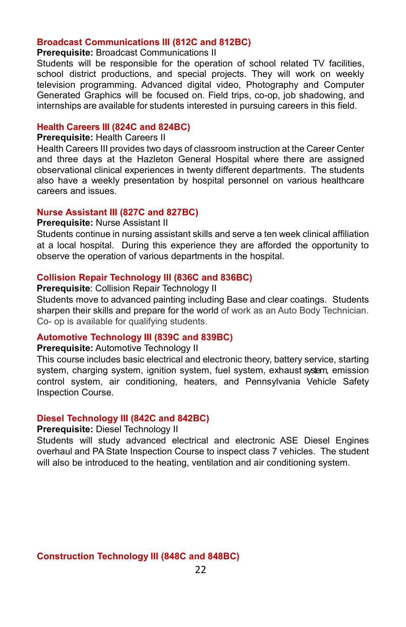#### **Broadcast Communications III (812C and 812BC)**

#### **Prerequisite:** Broadcast Communications II

Students will be responsible for the operation of school related TV facilities, school district productions, and special projects. They will work on weekly television programming. Advanced digital video, Photography and Computer Generated Graphics will be focused on. Field trips, co-op, job shadowing, and internships are available for students interested in pursuing careers in this field.

#### **Health Careers III (824C and 824BC)**

#### **Prerequisite:** Health Careers II

Health Careers III provides two days of classroom instruction at the Career Center and three days at the Hazleton General Hospital where there are assigned observational clinical experiences in twenty different departments. The students also have a weekly presentation by hospital personnel on various healthcare careers and issues.

#### **Nurse Assistant III (827C and 827BC)**

#### **Prerequisite:** Nurse Assistant II

Students continue in nursing assistant skills and serve a ten week clinical affiliation at a local hospital. During this experience they are afforded the opportunity to observe the operation of various departments in the hospital.

#### **Collision Repair Technology III (836C and 836BC)**

**Prerequisite**: Collision Repair Technology II

Students move to advanced painting including Base and clear coatings. Students sharpen their skills and prepare for the world of work as an Auto Body Technician. Co- op is available for qualifying students.

#### **Automotive Technology III (839C and 839BC)**

#### **Prerequisite:** Automotive Technology II

This course includes basic electrical and electronic theory, battery service, starting system, charging system, ignition system, fuel system, exhaust system, emission control system, air conditioning, heaters, and Pennsylvania Vehicle Safety Inspection Course.

#### **Diesel Technology III (842C and 842BC)**

#### **Prerequisite:** Diesel Technology II

Students will study advanced electrical and electronic ASE Diesel Engines overhaul and PA State Inspection Course to inspect class 7 vehicles. The student will also be introduced to the heating, ventilation and air conditioning system.

#### **Construction Technology III (848C and 848BC)**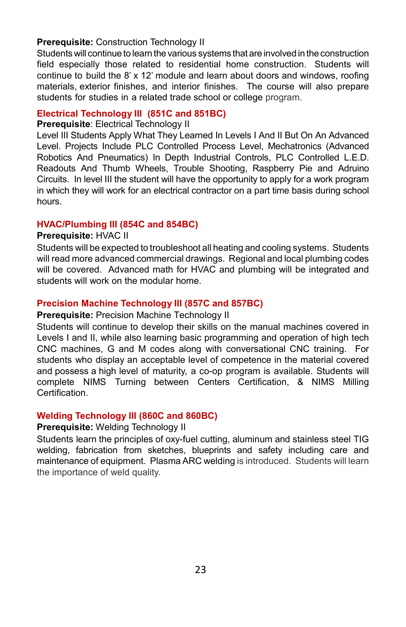#### **Prerequisite:** Construction Technology II

Students will continue to learn the various systems that areinvolved in theconstruction field especially those related to residential home construction. Students will continue to build the 8' x 12' module and learn about doors and windows, roofing materials, exterior finishes, and interior finishes. The course will also prepare students for studies in a related trade school or college program.

#### **Electrical Technology III (851C and 851BC)**

#### **Prerequisite**: Electrical Technology II

Level III Students Apply What They Learned In Levels I And II But On An Advanced Level. Projects Include PLC Controlled Process Level, Mechatronics (Advanced Robotics And Pneumatics) In Depth Industrial Controls, PLC Controlled L.E.D. Readouts And Thumb Wheels, Trouble Shooting, Raspberry Pie and Adruino Circuits. In level III the student will have the opportunity to apply for a work program in which they will work for an electrical contractor on a part time basis during school hours.

#### **HVAC/Plumbing III (854C and 854BC)**

#### **Prerequisite:** HVAC II

Students will be expected to troubleshoot all heating and cooling systems. Students will read more advanced commercial drawings. Regional and local plumbing codes will be covered. Advanced math for HVAC and plumbing will be integrated and students will work on the modular home.

#### **Precision Machine Technology III (857C and 857BC)**

#### **Prerequisite: Precision Machine Technology II**

Students will continue to develop their skills on the manual machines covered in Levels I and II, while also learning basic programming and operation of high tech CNC machines, G and M codes along with conversational CNC training. For students who display an acceptable level of competence in the material covered and possess a high level of maturity, a co-op program is available. Students will complete NIMS Turning between Centers Certification, & NIMS Milling Certification.

#### **Welding Technology III (860C and 860BC)**

#### **Prerequisite:** Welding Technology II

Students learn the principles of oxy-fuel cutting, aluminum and stainless steel TIG welding, fabrication from sketches, blueprints and safety including care and maintenance of equipment. Plasma ARC welding is introduced. Students will learn the importance of weld quality.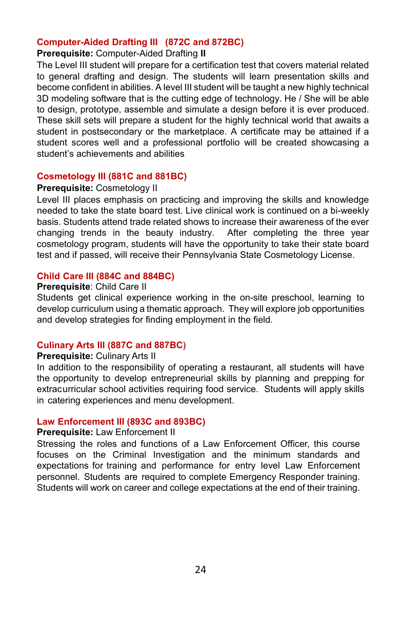#### **Computer-Aided Drafting III (872C and 872BC)**

#### **Prerequisite:** Computer-Aided Drafting **II**

The Level III student will prepare for a certification test that covers material related to general drafting and design. The students will learn presentation skills and become confident in abilities. A level III student will be taught a new highly technical 3D modeling software that is the cutting edge of technology. He / She will be able to design, prototype, assemble and simulate a design before it is ever produced. These skill sets will prepare a student for the highly technical world that awaits a student in postsecondary or the marketplace. A certificate may be attained if a student scores well and a professional portfolio will be created showcasing a student's achievements and abilities

#### **Cosmetology III (881C and 881BC)**

#### **Prerequisite:** Cosmetology II

Level III places emphasis on practicing and improving the skills and knowledge needed to take the state board test. Live clinical work is continued on a bi-weekly basis. Students attend trade related shows to increase their awareness of the ever changing trends in the beauty industry. After completing the three year cosmetology program, students will have the opportunity to take their state board test and if passed, will receive their Pennsylvania State Cosmetology License.

#### **Child Care III (884C and 884BC)**

#### **Prerequisite**: Child Care II

Students get clinical experience working in the on-site preschool, learning to develop curriculum using a thematic approach. They will explore job opportunities and develop strategies for finding employment in the field.

#### **Culinary Arts III (887C and 887BC)**

#### **Prerequisite:** Culinary Arts II

In addition to the responsibility of operating a restaurant, all students will have the opportunity to develop entrepreneurial skills by planning and prepping for extracurricular school activities requiring food service. Students will apply skills in catering experiences and menu development.

#### **Law Enforcement III (893C and 893BC)**

#### **Prerequisite:** Law Enforcement II

Stressing the roles and functions of a Law Enforcement Officer, this course focuses on the Criminal Investigation and the minimum standards and expectations for training and performance for entry level Law Enforcement personnel. Students are required to complete Emergency Responder training. Students will work on career and college expectations at the end of their training.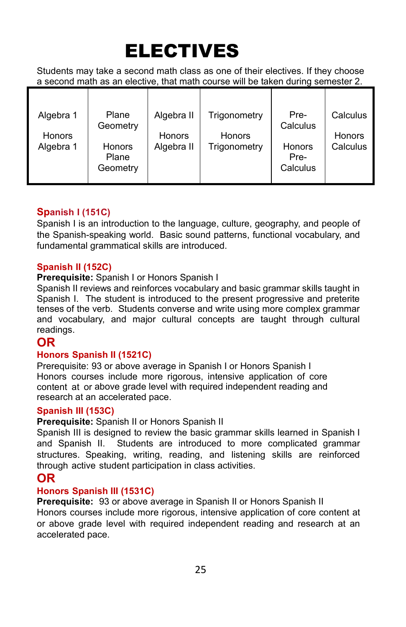## ELECTIVES

Students may take a second math class as one of their electives. If they choose a second math as an elective, that math course will be taken during semester 2.

| Algebra 1<br><b>Honors</b> | Plane<br>Geometry                  | Algebra II<br>Honors | Trigonometry<br><b>Honors</b> | Pre-<br>Calculus           | Calculus<br><b>Honors</b> |
|----------------------------|------------------------------------|----------------------|-------------------------------|----------------------------|---------------------------|
| Algebra 1                  | <b>Honors</b><br>Plane<br>Geometry | Algebra II           | Trigonometry                  | Honors<br>Pre-<br>Calculus | Calculus                  |

## **Spanish I (151C)**

Spanish I is an introduction to the language, culture, geography, and people of the Spanish-speaking world. Basic sound patterns, functional vocabulary, and fundamental grammatical skills are introduced.

#### **Spanish II (152C)**

#### **Prerequisite:** Spanish I or Honors Spanish I

Spanish II reviews and reinforces vocabulary and basic grammar skills taught in Spanish I. The student is introduced to the present progressive and preterite tenses of the verb. Students converse and write using more complex grammar and vocabulary, and major cultural concepts are taught through cultural readings.

## **OR**

#### **Honors Spanish II (1521C)**

Prerequisite: 93 or above average in Spanish I or Honors Spanish I Honors courses include more rigorous, intensive application of core content at or above grade level with required independent reading and research at an accelerated pace.

#### **Spanish III (153C)**

#### **Prerequisite:** Spanish II or Honors Spanish II

Spanish III is designed to review the basic grammar skills learned in Spanish I and Spanish II. Students are introduced to more complicated grammar structures. Speaking, writing, reading, and listening skills are reinforced through active student participation in class activities.

## **OR**

#### **Honors Spanish III (1531C)**

**Prerequisite:** 93 or above average in Spanish II or Honors Spanish II Honors courses include more rigorous, intensive application of core content at or above grade level with required independent reading and research at an accelerated pace.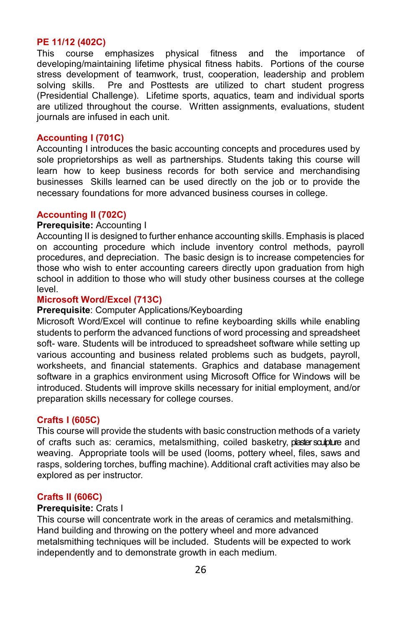**PE 11/12 (402C)** This course emphasizes physical fitness and the importance of developing/maintaining lifetime physical fitness habits. Portions of the course stress development of teamwork, trust, cooperation, leadership and problem<br>solving skills. Pre and Posttests are utilized to chart student progress Pre and Posttests are utilized to chart student progress (Presidential Challenge). Lifetime sports, aquatics, team and individual sports are utilized throughout the course. Written assignments, evaluations, student journals are infused in each unit.

#### **Accounting I (701C)**

Accounting I introduces the basic accounting concepts and procedures used by sole proprietorships as well as partnerships. Students taking this course will learn how to keep business records for both service and merchandising businesses Skills learned can be used directly on the job or to provide the necessary foundations for more advanced business courses in college.

#### **Accounting II (702C)**

#### **Prerequisite:** Accounting I

Accounting II is designed to further enhance accounting skills. Emphasis is placed on accounting procedure which include inventory control methods, payroll procedures, and depreciation. The basic design is to increase competencies for those who wish to enter accounting careers directly upon graduation from high school in addition to those who will study other business courses at the college level.

#### **Microsoft Word/Excel (713C)**

#### **Prerequisite**: Computer Applications/Keyboarding

Microsoft Word/Excel will continue to refine keyboarding skills while enabling students to perform the advanced functions of word processing and spreadsheet soft- ware. Students will be introduced to spreadsheet software while setting up various accounting and business related problems such as budgets, payroll, worksheets, and financial statements. Graphics and database management software in a graphics environment using Microsoft Office for Windows will be introduced. Students will improve skills necessary for initial employment, and/or preparation skills necessary for college courses.

#### **Crafts I (605C)**

This course will provide the students with basic construction methods of a variety of crafts such as: ceramics, metalsmithing, coiled basketry, plastersculpture and weaving. Appropriate tools will be used (looms, pottery wheel, files, saws and rasps, soldering torches, buffing machine). Additional craft activities may also be explored as per instructor.

#### **Crafts II (606C)**

#### **Prerequisite:** Crats I

This course will concentrate work in the areas of ceramics and metalsmithing. Hand building and throwing on the pottery wheel and more advanced metalsmithing techniques will be included. Students will be expected to work independently and to demonstrate growth in each medium.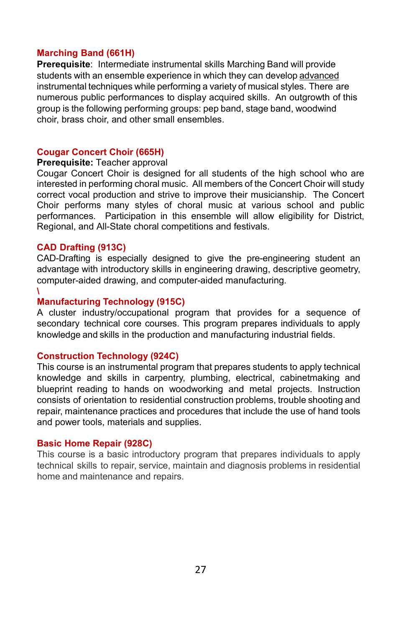#### **Marching Band (661H)**

**Prerequisite**: Intermediate instrumental skills Marching Band will provide students with an ensemble experience in which they can develop advanced instrumental techniques while performing a variety of musical styles. There are numerous public performances to display acquired skills. An outgrowth of this group is the following performing groups: pep band, stage band, woodwind choir, brass choir, and other small ensembles.

#### **Cougar Concert Choir (665H)**

#### **Prerequisite:** Teacher approval

Cougar Concert Choir is designed for all students of the high school who are interested in performing choral music. All members of the Concert Choir will study correct vocal production and strive to improve their musicianship. The Concert Choir performs many styles of choral music at various school and public performances. Participation in this ensemble will allow eligibility for District, Regional, and All-State choral competitions and festivals.

#### **CAD Drafting (913C)**

CAD-Drafting is especially designed to give the pre-engineering student an advantage with introductory skills in engineering drawing, descriptive geometry, computer-aided drawing, and computer-aided manufacturing.

#### **\**

#### **Manufacturing Technology (915C)**

A cluster industry/occupational program that provides for a sequence of secondary technical core courses. This program prepares individuals to apply knowledge and skills in the production and manufacturing industrial fields.

#### **Construction Technology (924C)**

This course is an instrumental program that prepares students to apply technical knowledge and skills in carpentry, plumbing, electrical, cabinetmaking and blueprint reading to hands on woodworking and metal projects. Instruction consists of orientation to residential construction problems, trouble shooting and repair, maintenance practices and procedures that include the use of hand tools and power tools, materials and supplies.

#### **Basic Home Repair (928C)**

This course is a basic introductory program that prepares individuals to apply technical skills to repair, service, maintain and diagnosis problems in residential home and maintenance and repairs.